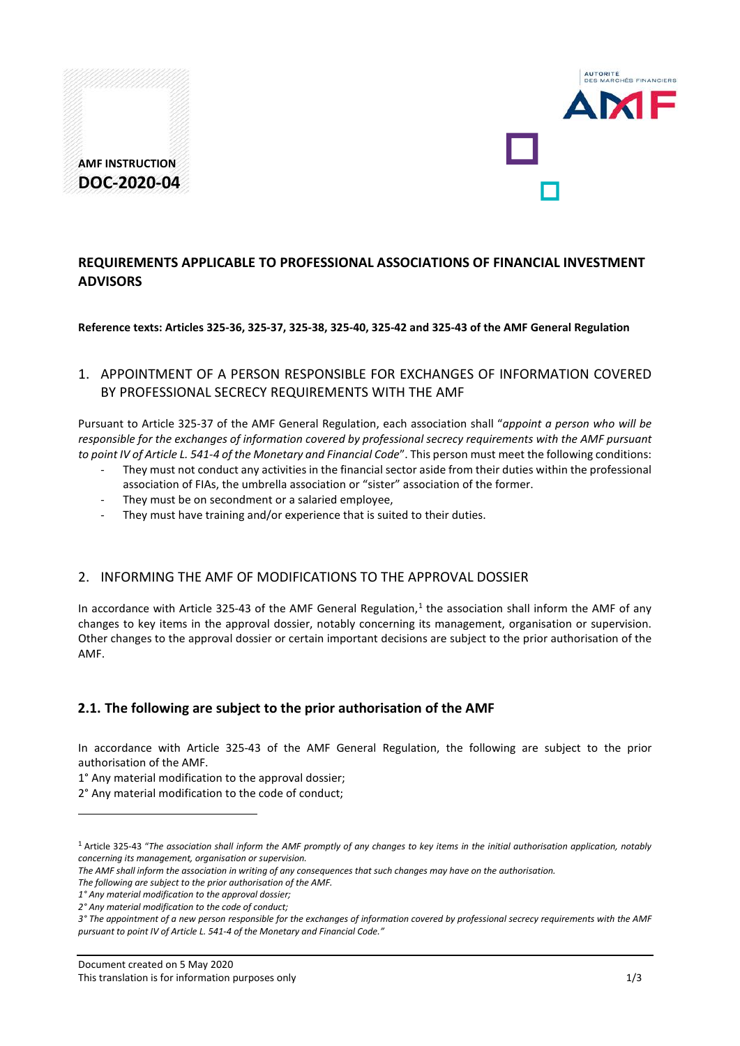



# **REQUIREMENTS APPLICABLE TO PROFESSIONAL ASSOCIATIONS OF FINANCIAL INVESTMENT ADVISORS**

**Reference texts: Articles 325-36, 325-37, 325-38, 325-40, 325-42 and 325-43 of the AMF General Regulation**

## 1. APPOINTMENT OF A PERSON RESPONSIBLE FOR EXCHANGES OF INFORMATION COVERED BY PROFESSIONAL SECRECY REQUIREMENTS WITH THE AMF

Pursuant to Article 325-37 of the AMF General Regulation, each association shall "*appoint a person who will be responsible for the exchanges of information covered by professional secrecy requirements with the AMF pursuant to point IV of Article L. 541-4 of the Monetary and Financial Code*". This person must meet the following conditions:

- They must not conduct any activities in the financial sector aside from their duties within the professional association of FIAs, the umbrella association or "sister" association of the former.
- They must be on secondment or a salaried employee,
- They must have training and/or experience that is suited to their duties.

## 2. INFORMING THE AMF OF MODIFICATIONS TO THE APPROVAL DOSSIER

In accordance with Article 325-43 of the AMF General Regulation, $1$  the association shall inform the AMF of any changes to key items in the approval dossier, notably concerning its management, organisation or supervision. Other changes to the approval dossier or certain important decisions are subject to the prior authorisation of the AMF.

## **2.1. The following are subject to the prior authorisation of the AMF**

In accordance with Article 325-43 of the AMF General Regulation, the following are subject to the prior authorisation of the AMF.

- 1° Any material modification to the approval dossier;
- 2° Any material modification to the code of conduct;

<u>.</u>

<span id="page-0-0"></span><sup>1</sup> Article 325-43 "*The association shall inform the AMF promptly of any changes to key items in the initial authorisation application, notably concerning its management, organisation or supervision.* 

*The AMF shall inform the association in writing of any consequences that such changes may have on the authorisation.* 

*The following are subject to the prior authorisation of the AMF.* 

*<sup>1°</sup> Any material modification to the approval dossier;* 

*<sup>2°</sup> Any material modification to the code of conduct;* 

*<sup>3°</sup> The appointment of a new person responsible for the exchanges of information covered by professional secrecy requirements with the AMF pursuant to point IV of Article L. 541-4 of the Monetary and Financial Code."*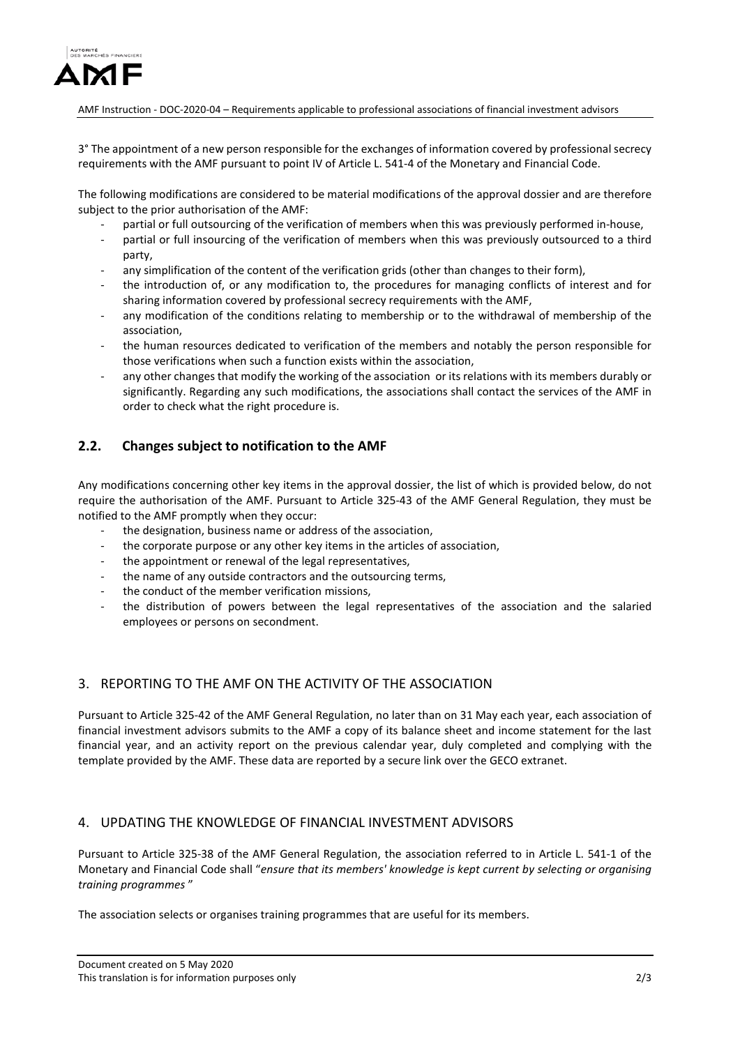

AMF Instruction - DOC-2020-04 – Requirements applicable to professional associations of financial investment advisors

3° The appointment of a new person responsible for the exchanges of information covered by professional secrecy requirements with the AMF pursuant to point IV of Article L. 541-4 of the Monetary and Financial Code.

The following modifications are considered to be material modifications of the approval dossier and are therefore subject to the prior authorisation of the AMF:

- partial or full outsourcing of the verification of members when this was previously performed in-house,
- partial or full insourcing of the verification of members when this was previously outsourced to a third party,
- any simplification of the content of the verification grids (other than changes to their form),
- the introduction of, or any modification to, the procedures for managing conflicts of interest and for sharing information covered by professional secrecy requirements with the AMF,
- any modification of the conditions relating to membership or to the withdrawal of membership of the association,
- the human resources dedicated to verification of the members and notably the person responsible for those verifications when such a function exists within the association,
- any other changes that modify the working of the association or its relations with its members durably or significantly. Regarding any such modifications, the associations shall contact the services of the AMF in order to check what the right procedure is.

## **2.2. Changes subject to notification to the AMF**

Any modifications concerning other key items in the approval dossier, the list of which is provided below, do not require the authorisation of the AMF. Pursuant to Article 325-43 of the AMF General Regulation, they must be notified to the AMF promptly when they occur:

- the designation, business name or address of the association,
- the corporate purpose or any other key items in the articles of association,
- the appointment or renewal of the legal representatives,
- the name of any outside contractors and the outsourcing terms,
- the conduct of the member verification missions,
- the distribution of powers between the legal representatives of the association and the salaried employees or persons on secondment.

## 3. REPORTING TO THE AMF ON THE ACTIVITY OF THE ASSOCIATION

Pursuant to Article 325-42 of the AMF General Regulation, no later than on 31 May each year, each association of financial investment advisors submits to the AMF a copy of its balance sheet and income statement for the last financial year, and an activity report on the previous calendar year, duly completed and complying with the template provided by the AMF. These data are reported by a secure link over the GECO extranet.

#### 4. UPDATING THE KNOWLEDGE OF FINANCIAL INVESTMENT ADVISORS

Pursuant to Article 325-38 of the AMF General Regulation, the association referred to in Article L. 541-1 of the Monetary and Financial Code shall "*ensure that its members' knowledge is kept current by selecting or organising training programmes* "

The association selects or organises training programmes that are useful for its members.